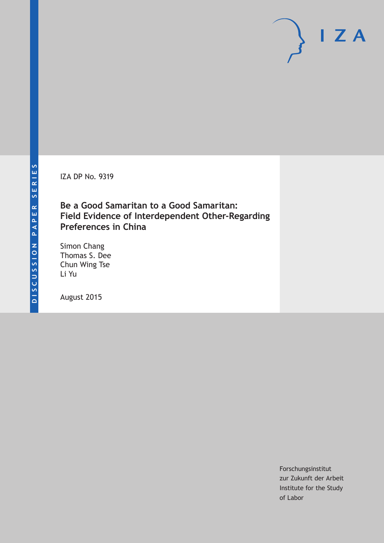IZA DP No. 9319

### **Be a Good Samaritan to a Good Samaritan: Field Evidence of Interdependent Other-Regarding Preferences in China**

Simon Chang Thomas S. Dee Chun Wing Tse Li Yu

August 2015

Forschungsinstitut zur Zukunft der Arbeit Institute for the Study of Labor

 $I Z A$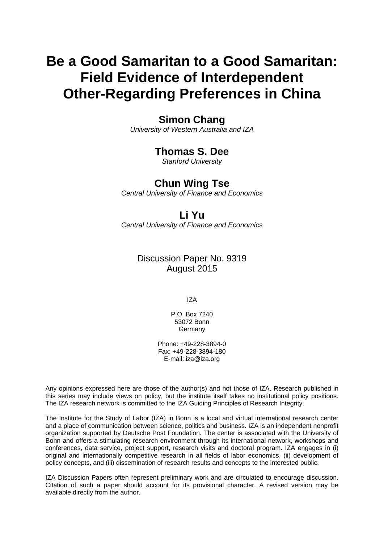# **Be a Good Samaritan to a Good Samaritan: Field Evidence of Interdependent Other-Regarding Preferences in China**

### **Simon Chang**

*University of Western Australia and IZA* 

# **Thomas S. Dee**

*Stanford University* 

# **Chun Wing Tse**

*Central University of Finance and Economics*

# **Li Yu**

*Central University of Finance and Economics* 

### Discussion Paper No. 9319 August 2015

IZA

P.O. Box 7240 53072 Bonn Germany

Phone: +49-228-3894-0 Fax: +49-228-3894-180 E-mail: iza@iza.org

Any opinions expressed here are those of the author(s) and not those of IZA. Research published in this series may include views on policy, but the institute itself takes no institutional policy positions. The IZA research network is committed to the IZA Guiding Principles of Research Integrity.

The Institute for the Study of Labor (IZA) in Bonn is a local and virtual international research center and a place of communication between science, politics and business. IZA is an independent nonprofit organization supported by Deutsche Post Foundation. The center is associated with the University of Bonn and offers a stimulating research environment through its international network, workshops and conferences, data service, project support, research visits and doctoral program. IZA engages in (i) original and internationally competitive research in all fields of labor economics, (ii) development of policy concepts, and (iii) dissemination of research results and concepts to the interested public.

IZA Discussion Papers often represent preliminary work and are circulated to encourage discussion. Citation of such a paper should account for its provisional character. A revised version may be available directly from the author.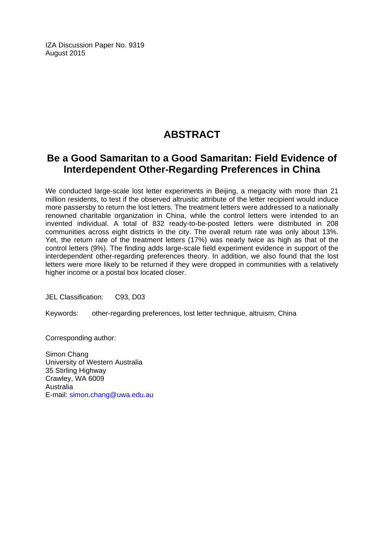IZA Discussion Paper No. 9319 August 2015

# **ABSTRACT**

# **Be a Good Samaritan to a Good Samaritan: Field Evidence of Interdependent Other-Regarding Preferences in China**

We conducted large-scale lost letter experiments in Beijing, a megacity with more than 21 million residents, to test if the observed altruistic attribute of the letter recipient would induce more passersby to return the lost letters. The treatment letters were addressed to a nationally renowned charitable organization in China, while the control letters were intended to an invented individual. A total of 832 ready-to-be-posted letters were distributed in 208 communities across eight districts in the city. The overall return rate was only about 13%. Yet, the return rate of the treatment letters (17%) was nearly twice as high as that of the control letters (9%). The finding adds large-scale field experiment evidence in support of the interdependent other-regarding preferences theory. In addition, we also found that the lost letters were more likely to be returned if they were dropped in communities with a relatively higher income or a postal box located closer.

JEL Classification: C93, D03

Keywords: other-regarding preferences, lost letter technique, altruism, China

Corresponding author:

Simon Chang University of Western Australia 35 Stirling Highway Crawley, WA 6009 Australia E-mail: simon.chang@uwa.edu.au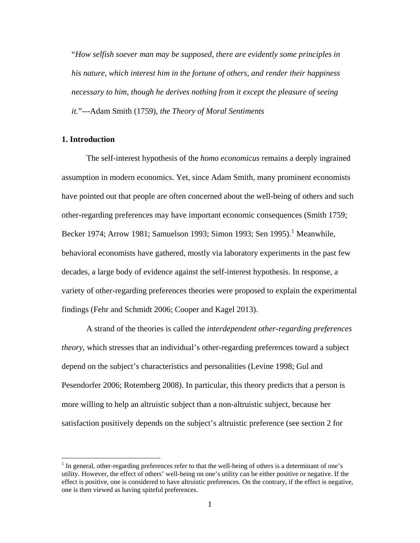"*How selfish soever man may be supposed, there are evidently some principles in his nature, which interest him in the fortune of others, and render their happiness necessary to him, though he derives nothing from it except the pleasure of seeing it.*"---Adam Smith (1759), *the Theory of Moral Sentiments*

#### **1. Introduction**

The self-interest hypothesis of the *homo economicus* remains a deeply ingrained assumption in modern economics. Yet, since Adam Smith, many prominent economists have pointed out that people are often concerned about the well-being of others and such other-regarding preferences may have important economic consequences (Smith 1759; Becker [1](#page-3-0)974; Arrow 1981; Samuelson 1993; Simon 1993; Sen 1995).<sup>1</sup> Meanwhile, behavioral economists have gathered, mostly via laboratory experiments in the past few decades, a large body of evidence against the self-interest hypothesis. In response, a variety of other-regarding preferences theories were proposed to explain the experimental findings (Fehr and Schmidt 2006; Cooper and Kagel 2013).

A strand of the theories is called the *interdependent other-regarding preferences theory*, which stresses that an individual's other-regarding preferences toward a subject depend on the subject's characteristics and personalities (Levine 1998; Gul and Pesendorfer 2006; Rotemberg 2008). In particular, this theory predicts that a person is more willing to help an altruistic subject than a non-altruistic subject, because her satisfaction positively depends on the subject's altruistic preference (see section 2 for

<span id="page-3-0"></span><sup>&</sup>lt;sup>1</sup> In general, other-regarding preferences refer to that the well-being of others is a determinant of one's utility. However, the effect of others' well-being on one's utility can be either positive or negative. If the effect is positive, one is considered to have altruistic preferences. On the contrary, if the effect is negative, one is then viewed as having spiteful preferences.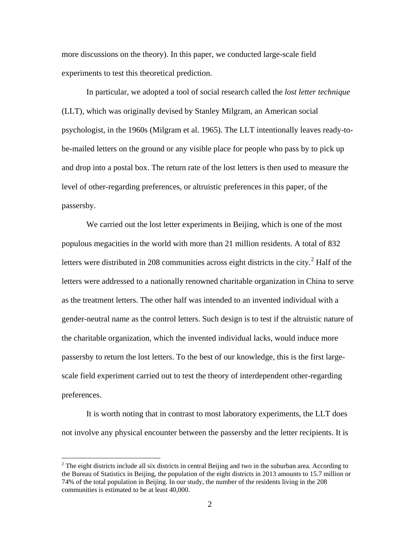more discussions on the theory). In this paper, we conducted large-scale field experiments to test this theoretical prediction.

In particular, we adopted a tool of social research called the *lost letter technique* (LLT), which was originally devised by Stanley Milgram, an American social psychologist, in the 1960s (Milgram et al. 1965). The LLT intentionally leaves ready-tobe-mailed letters on the ground or any visible place for people who pass by to pick up and drop into a postal box. The return rate of the lost letters is then used to measure the level of other-regarding preferences, or altruistic preferences in this paper, of the passersby.

We carried out the lost letter experiments in Beijing, which is one of the most populous megacities in the world with more than 21 million residents. A total of 832 letters were distributed in [2](#page-4-0)08 communities across eight districts in the city.<sup>2</sup> Half of the letters were addressed to a nationally renowned charitable organization in China to serve as the treatment letters. The other half was intended to an invented individual with a gender-neutral name as the control letters. Such design is to test if the altruistic nature of the charitable organization, which the invented individual lacks, would induce more passersby to return the lost letters. To the best of our knowledge, this is the first largescale field experiment carried out to test the theory of interdependent other-regarding preferences.

It is worth noting that in contrast to most laboratory experiments, the LLT does not involve any physical encounter between the passersby and the letter recipients. It is

<span id="page-4-0"></span><sup>&</sup>lt;sup>2</sup> The eight districts include all six districts in central Beijing and two in the suburban area. According to the Bureau of Statistics in Beijing, the population of the eight districts in 2013 amounts to 15.7 million or 74% of the total population in Beijing. In our study, the number of the residents living in the 208 communities is estimated to be at least 40,000.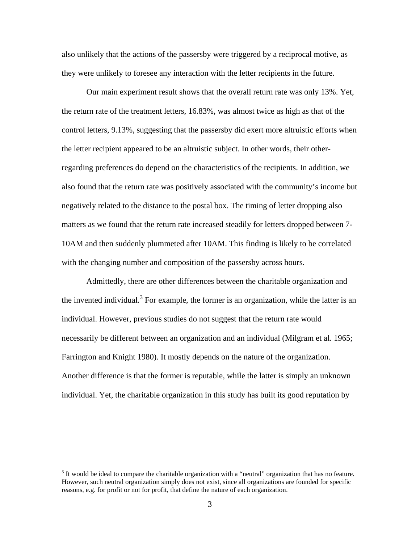also unlikely that the actions of the passersby were triggered by a reciprocal motive, as they were unlikely to foresee any interaction with the letter recipients in the future.

Our main experiment result shows that the overall return rate was only 13%. Yet, the return rate of the treatment letters, 16.83%, was almost twice as high as that of the control letters, 9.13%, suggesting that the passersby did exert more altruistic efforts when the letter recipient appeared to be an altruistic subject. In other words, their otherregarding preferences do depend on the characteristics of the recipients. In addition, we also found that the return rate was positively associated with the community's income but negatively related to the distance to the postal box. The timing of letter dropping also matters as we found that the return rate increased steadily for letters dropped between 7- 10AM and then suddenly plummeted after 10AM. This finding is likely to be correlated with the changing number and composition of the passers by across hours.

Admittedly, there are other differences between the charitable organization and the invented individual.<sup>[3](#page-5-0)</sup> For example, the former is an organization, while the latter is an individual. However, previous studies do not suggest that the return rate would necessarily be different between an organization and an individual (Milgram et al. 1965; Farrington and Knight 1980). It mostly depends on the nature of the organization. Another difference is that the former is reputable, while the latter is simply an unknown individual. Yet, the charitable organization in this study has built its good reputation by

<span id="page-5-0"></span><sup>&</sup>lt;sup>3</sup> It would be ideal to compare the charitable organization with a "neutral" organization that has no feature. However, such neutral organization simply does not exist, since all organizations are founded for specific reasons, e.g. for profit or not for profit, that define the nature of each organization.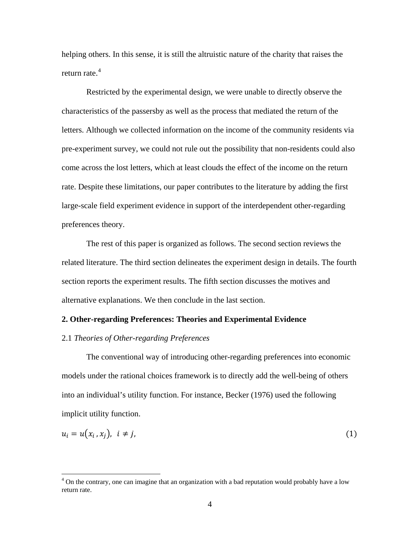helping others. In this sense, it is still the altruistic nature of the charity that raises the return rate.<sup>[4](#page-6-0)</sup>

Restricted by the experimental design, we were unable to directly observe the characteristics of the passersby as well as the process that mediated the return of the letters. Although we collected information on the income of the community residents via pre-experiment survey, we could not rule out the possibility that non-residents could also come across the lost letters, which at least clouds the effect of the income on the return rate. Despite these limitations, our paper contributes to the literature by adding the first large-scale field experiment evidence in support of the interdependent other-regarding preferences theory.

The rest of this paper is organized as follows. The second section reviews the related literature. The third section delineates the experiment design in details. The fourth section reports the experiment results. The fifth section discusses the motives and alternative explanations. We then conclude in the last section.

#### **2. Other-regarding Preferences: Theories and Experimental Evidence**

#### 2.1 *Theories of Other-regarding Preferences*

The conventional way of introducing other-regarding preferences into economic models under the rational choices framework is to directly add the well-being of others into an individual's utility function. For instance, Becker (1976) used the following implicit utility function.

$$
u_i = u(x_i, x_j), \quad i \neq j,
$$
\n<sup>(1)</sup>

<span id="page-6-0"></span><sup>&</sup>lt;sup>4</sup> On the contrary, one can imagine that an organization with a bad reputation would probably have a low return rate.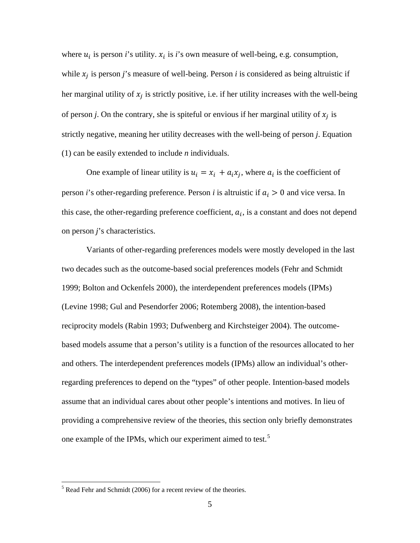where  $u_i$  is person *i*'s utility.  $x_i$  is *i*'s own measure of well-being, e.g. consumption, while  $x_i$  is person *j*'s measure of well-being. Person *i* is considered as being altruistic if her marginal utility of  $x_i$  is strictly positive, i.e. if her utility increases with the well-being of person *j*. On the contrary, she is spiteful or envious if her marginal utility of  $x_i$  is strictly negative, meaning her utility decreases with the well-being of person *j*. Equation (1) can be easily extended to include *n* individuals.

One example of linear utility is  $u_i = x_i + a_i x_i$ , where  $a_i$  is the coefficient of person *i*'s other-regarding preference. Person *i* is altruistic if  $a_i > 0$  and vice versa. In this case, the other-regarding preference coefficient,  $a_i$ , is a constant and does not depend on person *j*'s characteristics.

Variants of other-regarding preferences models were mostly developed in the last two decades such as the outcome-based social preferences models (Fehr and Schmidt 1999; Bolton and Ockenfels 2000), the interdependent preferences models (IPMs) (Levine 1998; Gul and Pesendorfer 2006; Rotemberg 2008), the intention-based reciprocity models (Rabin 1993; Dufwenberg and Kirchsteiger 2004). The outcomebased models assume that a person's utility is a function of the resources allocated to her and others. The interdependent preferences models (IPMs) allow an individual's otherregarding preferences to depend on the "types" of other people. Intention-based models assume that an individual cares about other people's intentions and motives. In lieu of providing a comprehensive review of the theories, this section only briefly demonstrates one example of the IPMs, which our experiment aimed to test.<sup>[5](#page-7-0)</sup>

<span id="page-7-0"></span> <sup>5</sup> Read Fehr and Schmidt (2006) for a recent review of the theories.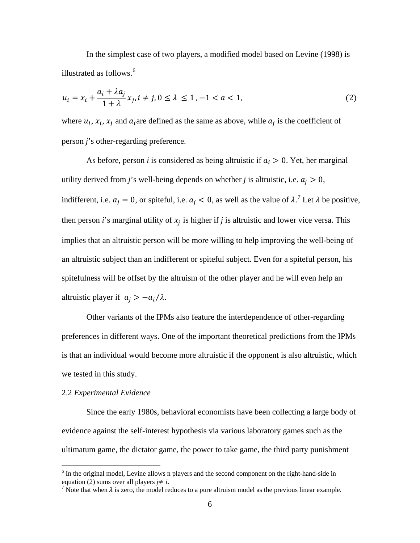In the simplest case of two players, a modified model based on Levine (1998) is illustrated as follows. [6](#page-8-0)

$$
u_i = x_i + \frac{a_i + \lambda a_j}{1 + \lambda} x_j, i \neq j, 0 \le \lambda \le 1, -1 < a < 1,
$$
 (2)

where  $u_i$ ,  $x_i$ ,  $x_j$  and  $a_i$  are defined as the same as above, while  $a_j$  is the coefficient of person *j*'s other-regarding preference.

As before, person *i* is considered as being altruistic if  $a_i > 0$ . Yet, her marginal utility derived from *j*'s well-being depends on whether *j* is altruistic, i.e.  $a_i > 0$ , indifferent, i.e.  $a_j = 0$ , or spiteful, i.e.  $a_j < 0$ , as well as the value of  $\lambda$ .<sup>[7](#page-8-1)</sup> Let  $\lambda$  be positive, then person *i*'s marginal utility of  $x_i$  is higher if *j* is altruistic and lower vice versa. This implies that an altruistic person will be more willing to help improving the well-being of an altruistic subject than an indifferent or spiteful subject. Even for a spiteful person, his spitefulness will be offset by the altruism of the other player and he will even help an altruistic player if  $a_i > -a_i/\lambda$ .

Other variants of the IPMs also feature the interdependence of other-regarding preferences in different ways. One of the important theoretical predictions from the IPMs is that an individual would become more altruistic if the opponent is also altruistic, which we tested in this study.

#### 2.2 *Experimental Evidence*

Since the early 1980s, behavioral economists have been collecting a large body of evidence against the self-interest hypothesis via various laboratory games such as the ultimatum game, the dictator game, the power to take game, the third party punishment

<span id="page-8-0"></span><sup>&</sup>lt;sup>6</sup> In the original model, Levine allows n players and the second component on the right-hand-side in equation (2) sums over all players  $j \neq i$ .

<span id="page-8-1"></span><sup>&</sup>lt;sup>7</sup> Note that when  $\lambda$  is zero, the model reduces to a pure altruism model as the previous linear example.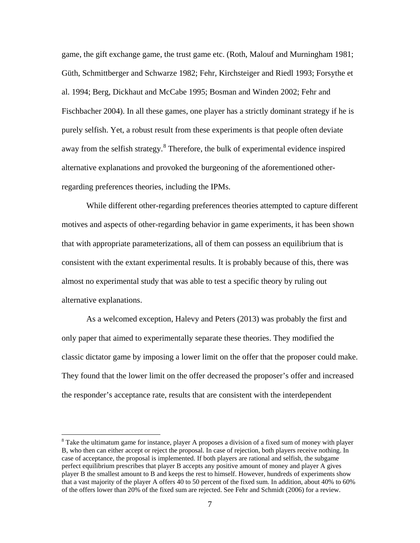game, the gift exchange game, the trust game etc. (Roth, Malouf and Murningham 1981; Güth, Schmittberger and Schwarze 1982; Fehr, Kirchsteiger and Riedl 1993; Forsythe et al. 1994; Berg, Dickhaut and McCabe 1995; Bosman and Winden 2002; Fehr and Fischbacher 2004). In all these games, one player has a strictly dominant strategy if he is purely selfish. Yet, a robust result from these experiments is that people often deviate away from the selfish strategy.<sup>[8](#page-9-0)</sup> Therefore, the bulk of experimental evidence inspired alternative explanations and provoked the burgeoning of the aforementioned otherregarding preferences theories, including the IPMs.

While different other-regarding preferences theories attempted to capture different motives and aspects of other-regarding behavior in game experiments, it has been shown that with appropriate parameterizations, all of them can possess an equilibrium that is consistent with the extant experimental results. It is probably because of this, there was almost no experimental study that was able to test a specific theory by ruling out alternative explanations.

As a welcomed exception, Halevy and Peters (2013) was probably the first and only paper that aimed to experimentally separate these theories. They modified the classic dictator game by imposing a lower limit on the offer that the proposer could make. They found that the lower limit on the offer decreased the proposer's offer and increased the responder's acceptance rate, results that are consistent with the interdependent

<span id="page-9-0"></span> $8$  Take the ultimatum game for instance, player A proposes a division of a fixed sum of money with player B, who then can either accept or reject the proposal. In case of rejection, both players receive nothing. In case of acceptance, the proposal is implemented. If both players are rational and selfish, the subgame perfect equilibrium prescribes that player B accepts any positive amount of money and player A gives player B the smallest amount to B and keeps the rest to himself. However, hundreds of experiments show that a vast majority of the player A offers 40 to 50 percent of the fixed sum. In addition, about 40% to 60% of the offers lower than 20% of the fixed sum are rejected. See Fehr and Schmidt (2006) for a review.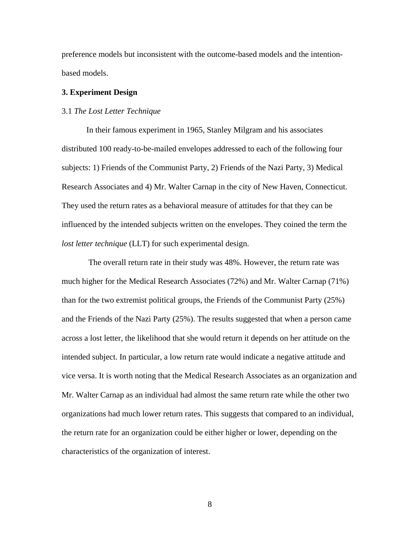preference models but inconsistent with the outcome-based models and the intentionbased models.

#### **3. Experiment Design**

#### 3.1 *The Lost Letter Technique*

In their famous experiment in 1965, Stanley Milgram and his associates distributed 100 ready-to-be-mailed envelopes addressed to each of the following four subjects: 1) Friends of the Communist Party, 2) Friends of the Nazi Party, 3) Medical Research Associates and 4) Mr. Walter Carnap in the city of New Haven, Connecticut. They used the return rates as a behavioral measure of attitudes for that they can be influenced by the intended subjects written on the envelopes. They coined the term the *lost letter technique* (LLT) for such experimental design.

The overall return rate in their study was 48%. However, the return rate was much higher for the Medical Research Associates (72%) and Mr. Walter Carnap (71%) than for the two extremist political groups, the Friends of the Communist Party (25%) and the Friends of the Nazi Party (25%). The results suggested that when a person came across a lost letter, the likelihood that she would return it depends on her attitude on the intended subject. In particular, a low return rate would indicate a negative attitude and vice versa. It is worth noting that the Medical Research Associates as an organization and Mr. Walter Carnap as an individual had almost the same return rate while the other two organizations had much lower return rates. This suggests that compared to an individual, the return rate for an organization could be either higher or lower, depending on the characteristics of the organization of interest.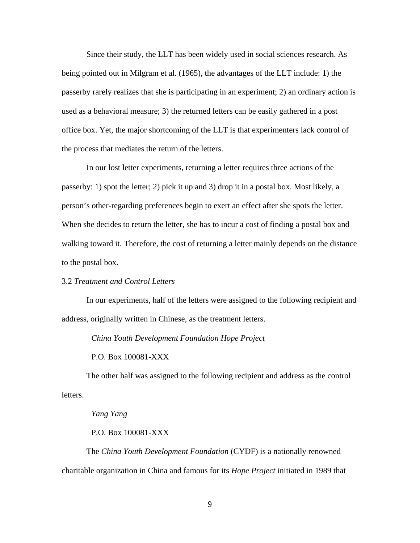Since their study, the LLT has been widely used in social sciences research. As being pointed out in Milgram et al. (1965), the advantages of the LLT include: 1) the passerby rarely realizes that she is participating in an experiment; 2) an ordinary action is used as a behavioral measure; 3) the returned letters can be easily gathered in a post office box. Yet, the major shortcoming of the LLT is that experimenters lack control of the process that mediates the return of the letters.

In our lost letter experiments, returning a letter requires three actions of the passerby: 1) spot the letter; 2) pick it up and 3) drop it in a postal box. Most likely, a person's other-regarding preferences begin to exert an effect after she spots the letter. When she decides to return the letter, she has to incur a cost of finding a postal box and walking toward it. Therefore, the cost of returning a letter mainly depends on the distance to the postal box.

#### 3.2 *Treatment and Control Letters*

In our experiments, half of the letters were assigned to the following recipient and address, originally written in Chinese, as the treatment letters.

*China Youth Development Foundation Hope Project*

P.O. Box 100081-XXX

The other half was assigned to the following recipient and address as the control letters.

#### *Yang Yang*

#### P.O. Box 100081-XXX

The *China Youth Development Foundation* (CYDF) is a nationally renowned charitable organization in China and famous for its *Hope Project* initiated in 1989 that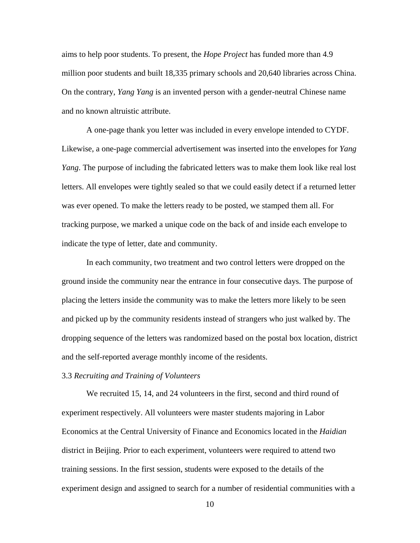aims to help poor students. To present, the *Hope Project* has funded more than 4.9 million poor students and built 18,335 primary schools and 20,640 libraries across China. On the contrary, *Yang Yang* is an invented person with a gender-neutral Chinese name and no known altruistic attribute.

A one-page thank you letter was included in every envelope intended to CYDF. Likewise, a one-page commercial advertisement was inserted into the envelopes for *Yang Yang*. The purpose of including the fabricated letters was to make them look like real lost letters. All envelopes were tightly sealed so that we could easily detect if a returned letter was ever opened. To make the letters ready to be posted, we stamped them all. For tracking purpose, we marked a unique code on the back of and inside each envelope to indicate the type of letter, date and community.

In each community, two treatment and two control letters were dropped on the ground inside the community near the entrance in four consecutive days. The purpose of placing the letters inside the community was to make the letters more likely to be seen and picked up by the community residents instead of strangers who just walked by. The dropping sequence of the letters was randomized based on the postal box location, district and the self-reported average monthly income of the residents.

#### 3.3 *Recruiting and Training of Volunteers*

We recruited 15, 14, and 24 volunteers in the first, second and third round of experiment respectively. All volunteers were master students majoring in Labor Economics at the Central University of Finance and Economics located in the *Haidian* district in Beijing. Prior to each experiment, volunteers were required to attend two training sessions. In the first session, students were exposed to the details of the experiment design and assigned to search for a number of residential communities with a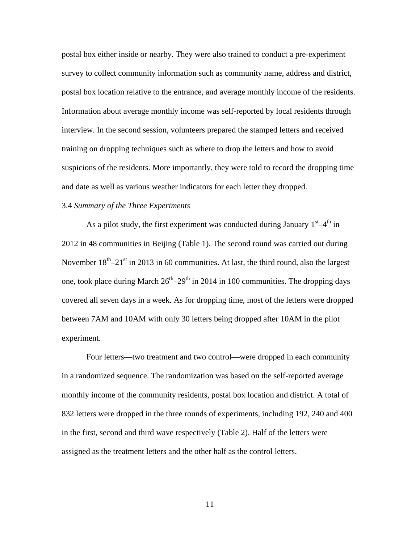postal box either inside or nearby. They were also trained to conduct a pre-experiment survey to collect community information such as community name, address and district, postal box location relative to the entrance, and average monthly income of the residents. Information about average monthly income was self-reported by local residents through interview. In the second session, volunteers prepared the stamped letters and received training on dropping techniques such as where to drop the letters and how to avoid suspicions of the residents. More importantly, they were told to record the dropping time and date as well as various weather indicators for each letter they dropped.

#### 3.4 *Summary of the Three Experiments*

As a pilot study, the first experiment was conducted during January  $1<sup>st</sup>-4<sup>th</sup>$  in 2012 in 48 communities in Beijing (Table 1). The second round was carried out during November  $18^{th}$ – $21^{st}$  in 2013 in 60 communities. At last, the third round, also the largest one, took place during March  $26<sup>th</sup>-29<sup>th</sup>$  in 2014 in 100 communities. The dropping days covered all seven days in a week. As for dropping time, most of the letters were dropped between 7AM and 10AM with only 30 letters being dropped after 10AM in the pilot experiment.

Four letters—two treatment and two control—were dropped in each community in a randomized sequence. The randomization was based on the self-reported average monthly income of the community residents, postal box location and district. A total of 832 letters were dropped in the three rounds of experiments, including 192, 240 and 400 in the first, second and third wave respectively (Table 2). Half of the letters were assigned as the treatment letters and the other half as the control letters.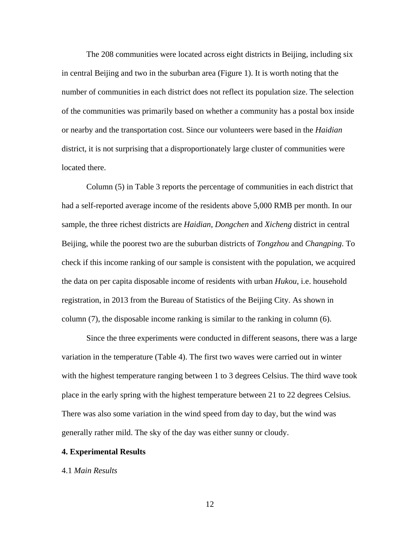The 208 communities were located across eight districts in Beijing, including six in central Beijing and two in the suburban area (Figure 1). It is worth noting that the number of communities in each district does not reflect its population size. The selection of the communities was primarily based on whether a community has a postal box inside or nearby and the transportation cost. Since our volunteers were based in the *Haidian* district, it is not surprising that a disproportionately large cluster of communities were located there.

Column (5) in Table 3 reports the percentage of communities in each district that had a self-reported average income of the residents above 5,000 RMB per month. In our sample, the three richest districts are *Haidian*, *Dongchen* and *Xicheng* district in central Beijing, while the poorest two are the suburban districts of *Tongzhou* and *Changping*. To check if this income ranking of our sample is consistent with the population, we acquired the data on per capita disposable income of residents with urban *Hukou*, i.e. household registration, in 2013 from the Bureau of Statistics of the Beijing City. As shown in column (7), the disposable income ranking is similar to the ranking in column (6).

Since the three experiments were conducted in different seasons, there was a large variation in the temperature (Table 4). The first two waves were carried out in winter with the highest temperature ranging between 1 to 3 degrees Celsius. The third wave took place in the early spring with the highest temperature between 21 to 22 degrees Celsius. There was also some variation in the wind speed from day to day, but the wind was generally rather mild. The sky of the day was either sunny or cloudy.

#### **4. Experimental Results**

#### 4.1 *Main Results*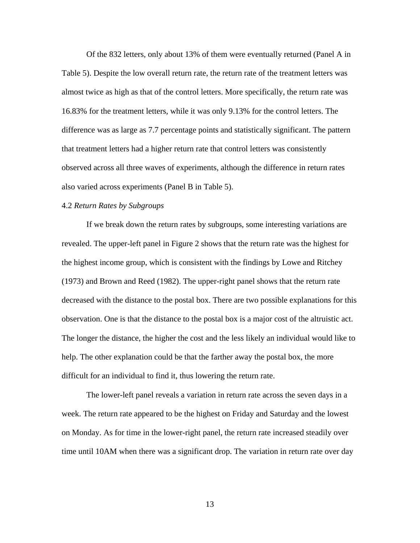Of the 832 letters, only about 13% of them were eventually returned (Panel A in Table 5). Despite the low overall return rate, the return rate of the treatment letters was almost twice as high as that of the control letters. More specifically, the return rate was 16.83% for the treatment letters, while it was only 9.13% for the control letters. The difference was as large as 7.7 percentage points and statistically significant. The pattern that treatment letters had a higher return rate that control letters was consistently observed across all three waves of experiments, although the difference in return rates also varied across experiments (Panel B in Table 5).

#### 4.2 *Return Rates by Subgroups*

If we break down the return rates by subgroups, some interesting variations are revealed. The upper-left panel in Figure 2 shows that the return rate was the highest for the highest income group, which is consistent with the findings by Lowe and Ritchey (1973) and Brown and Reed (1982). The upper-right panel shows that the return rate decreased with the distance to the postal box. There are two possible explanations for this observation. One is that the distance to the postal box is a major cost of the altruistic act. The longer the distance, the higher the cost and the less likely an individual would like to help. The other explanation could be that the farther away the postal box, the more difficult for an individual to find it, thus lowering the return rate.

The lower-left panel reveals a variation in return rate across the seven days in a week. The return rate appeared to be the highest on Friday and Saturday and the lowest on Monday. As for time in the lower-right panel, the return rate increased steadily over time until 10AM when there was a significant drop. The variation in return rate over day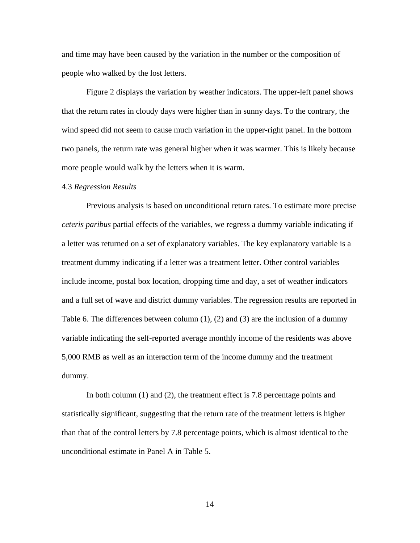and time may have been caused by the variation in the number or the composition of people who walked by the lost letters.

Figure 2 displays the variation by weather indicators. The upper-left panel shows that the return rates in cloudy days were higher than in sunny days. To the contrary, the wind speed did not seem to cause much variation in the upper-right panel. In the bottom two panels, the return rate was general higher when it was warmer. This is likely because more people would walk by the letters when it is warm.

#### 4.3 *Regression Results*

Previous analysis is based on unconditional return rates. To estimate more precise *ceteris paribus* partial effects of the variables, we regress a dummy variable indicating if a letter was returned on a set of explanatory variables. The key explanatory variable is a treatment dummy indicating if a letter was a treatment letter. Other control variables include income, postal box location, dropping time and day, a set of weather indicators and a full set of wave and district dummy variables. The regression results are reported in Table 6. The differences between column (1), (2) and (3) are the inclusion of a dummy variable indicating the self-reported average monthly income of the residents was above 5,000 RMB as well as an interaction term of the income dummy and the treatment dummy.

In both column (1) and (2), the treatment effect is 7.8 percentage points and statistically significant, suggesting that the return rate of the treatment letters is higher than that of the control letters by 7.8 percentage points, which is almost identical to the unconditional estimate in Panel A in Table 5.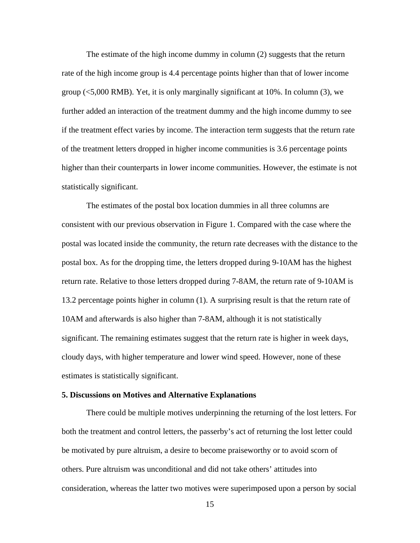The estimate of the high income dummy in column (2) suggests that the return rate of the high income group is 4.4 percentage points higher than that of lower income group (<5,000 RMB). Yet, it is only marginally significant at 10%. In column (3), we further added an interaction of the treatment dummy and the high income dummy to see if the treatment effect varies by income. The interaction term suggests that the return rate of the treatment letters dropped in higher income communities is 3.6 percentage points higher than their counterparts in lower income communities. However, the estimate is not statistically significant.

The estimates of the postal box location dummies in all three columns are consistent with our previous observation in Figure 1. Compared with the case where the postal was located inside the community, the return rate decreases with the distance to the postal box. As for the dropping time, the letters dropped during 9-10AM has the highest return rate. Relative to those letters dropped during 7-8AM, the return rate of 9-10AM is 13.2 percentage points higher in column (1). A surprising result is that the return rate of 10AM and afterwards is also higher than 7-8AM, although it is not statistically significant. The remaining estimates suggest that the return rate is higher in week days, cloudy days, with higher temperature and lower wind speed. However, none of these estimates is statistically significant.

#### **5. Discussions on Motives and Alternative Explanations**

There could be multiple motives underpinning the returning of the lost letters. For both the treatment and control letters, the passerby's act of returning the lost letter could be motivated by pure altruism, a desire to become praiseworthy or to avoid scorn of others. Pure altruism was unconditional and did not take others' attitudes into consideration, whereas the latter two motives were superimposed upon a person by social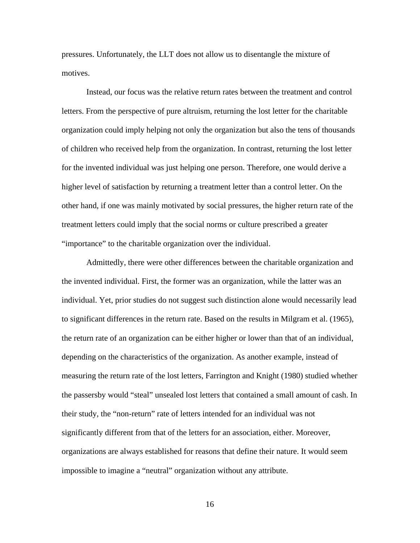pressures. Unfortunately, the LLT does not allow us to disentangle the mixture of motives.

Instead, our focus was the relative return rates between the treatment and control letters. From the perspective of pure altruism, returning the lost letter for the charitable organization could imply helping not only the organization but also the tens of thousands of children who received help from the organization. In contrast, returning the lost letter for the invented individual was just helping one person. Therefore, one would derive a higher level of satisfaction by returning a treatment letter than a control letter. On the other hand, if one was mainly motivated by social pressures, the higher return rate of the treatment letters could imply that the social norms or culture prescribed a greater "importance" to the charitable organization over the individual.

Admittedly, there were other differences between the charitable organization and the invented individual. First, the former was an organization, while the latter was an individual. Yet, prior studies do not suggest such distinction alone would necessarily lead to significant differences in the return rate. Based on the results in Milgram et al. (1965), the return rate of an organization can be either higher or lower than that of an individual, depending on the characteristics of the organization. As another example, instead of measuring the return rate of the lost letters, Farrington and Knight (1980) studied whether the passersby would "steal" unsealed lost letters that contained a small amount of cash. In their study, the "non-return" rate of letters intended for an individual was not significantly different from that of the letters for an association, either. Moreover, organizations are always established for reasons that define their nature. It would seem impossible to imagine a "neutral" organization without any attribute.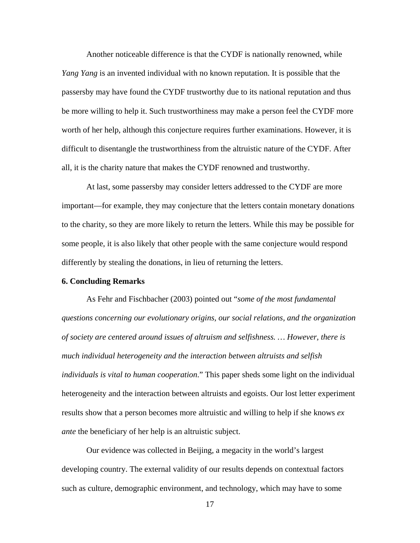Another noticeable difference is that the CYDF is nationally renowned, while *Yang Yang* is an invented individual with no known reputation. It is possible that the passersby may have found the CYDF trustworthy due to its national reputation and thus be more willing to help it. Such trustworthiness may make a person feel the CYDF more worth of her help, although this conjecture requires further examinations. However, it is difficult to disentangle the trustworthiness from the altruistic nature of the CYDF. After all, it is the charity nature that makes the CYDF renowned and trustworthy.

At last, some passersby may consider letters addressed to the CYDF are more important—for example, they may conjecture that the letters contain monetary donations to the charity, so they are more likely to return the letters. While this may be possible for some people, it is also likely that other people with the same conjecture would respond differently by stealing the donations, in lieu of returning the letters.

#### **6. Concluding Remarks**

As Fehr and Fischbacher (2003) pointed out "*some of the most fundamental questions concerning our evolutionary origins, our social relations, and the organization of society are centered around issues of altruism and selfishness. … However, there is much individual heterogeneity and the interaction between altruists and selfish individuals is vital to human cooperation*." This paper sheds some light on the individual heterogeneity and the interaction between altruists and egoists. Our lost letter experiment results show that a person becomes more altruistic and willing to help if she knows *ex ante* the beneficiary of her help is an altruistic subject.

Our evidence was collected in Beijing, a megacity in the world's largest developing country. The external validity of our results depends on contextual factors such as culture, demographic environment, and technology, which may have to some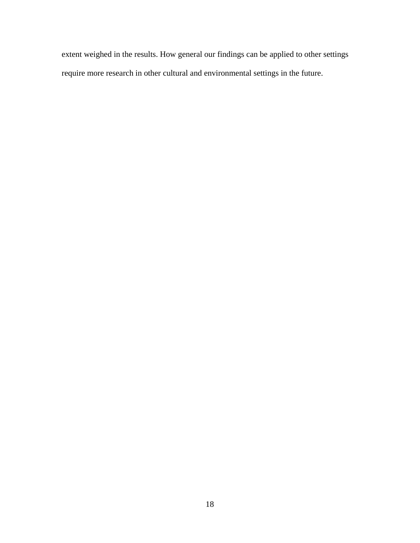extent weighed in the results. How general our findings can be applied to other settings require more research in other cultural and environmental settings in the future.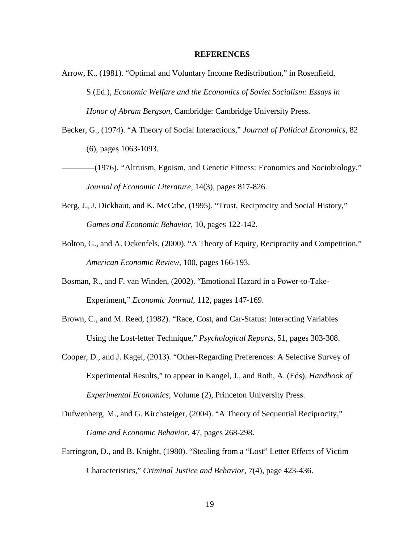#### **REFERENCES**

- Arrow, K., (1981). "Optimal and Voluntary Income Redistribution," in Rosenfield, S.(Ed.), *Economic Welfare and the Economics of Soviet Socialism: Essays in Honor of Abram Bergson*, Cambridge: Cambridge University Press.
- Becker, G., (1974). "A Theory of Social Interactions," *Journal of Political Economics*, 82 (6), pages 1063-1093.
- ————(1976). "Altruism, Egoism, and Genetic Fitness: Economics and Sociobiology," *Journal of Economic Literature*, 14(3), pages 817-826.
- Berg, J., J. Dickhaut, and K. McCabe, (1995). "Trust, Reciprocity and Social History," *Games and Economic Behavior*, 10, pages 122-142.
- Bolton, G., and A. Ockenfels, (2000). "A Theory of Equity, Reciprocity and Competition," *American Economic Review*, 100, pages 166-193.
- Bosman, R., and F. van Winden, (2002). "Emotional Hazard in a Power-to-Take-Experiment," *Economic Journal*, 112, pages 147-169.
- Brown, C., and M. Reed, (1982). "Race, Cost, and Car-Status: Interacting Variables Using the Lost-letter Technique," *Psychological Reports*, 51, pages 303-308.
- Cooper, D., and J. Kagel, (2013). "Other-Regarding Preferences: A Selective Survey of Experimental Results," to appear in Kangel, J., and Roth, A. (Eds), *Handbook of Experimental Economics*, Volume (2), Princeton University Press.
- Dufwenberg, M., and G. Kirchsteiger, (2004). "A Theory of Sequential Reciprocity," *Game and Economic Behavior*, 47, pages 268-298.
- Farrington, D., and B. Knight, (1980). "Stealing from a "Lost" Letter Effects of Victim Characteristics," *Criminal Justice and Behavior*, 7(4), page 423-436.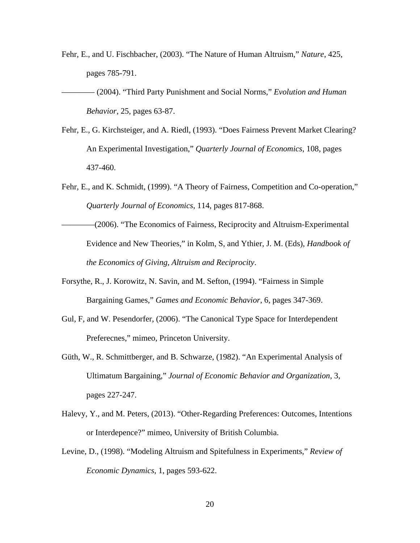- Fehr, E., and U. Fischbacher, (2003). "The Nature of Human Altruism," *Nature*, 425, pages 785-791.
- ———— (2004). "Third Party Punishment and Social Norms," *Evolution and Human Behavior*, 25, pages 63-87.
- Fehr, E., G. Kirchsteiger, and A. Riedl, (1993). "Does Fairness Prevent Market Clearing? An Experimental Investigation," *Quarterly Journal of Economics*, 108, pages 437-460.
- Fehr, E., and K. Schmidt, (1999). "A Theory of Fairness, Competition and Co-operation," *Quarterly Journal of Economics*, 114, pages 817-868.
- ————(2006). "The Economics of Fairness, Reciprocity and Altruism-Experimental Evidence and New Theories," in Kolm, S, and Ythier, J. M. (Eds), *Handbook of the Economics of Giving, Altruism and Reciprocity*.
- Forsythe, R., J. Korowitz, N. Savin, and M. Sefton, (1994). "Fairness in Simple Bargaining Games," *Games and Economic Behavior*, 6, pages 347-369.
- Gul, F, and W. Pesendorfer, (2006). "The Canonical Type Space for Interdependent Preferecnes," mimeo, Princeton University.
- Güth, W., R. Schmittberger, and B. Schwarze, (1982). "An Experimental Analysis of Ultimatum Bargaining," *Journal of Economic Behavior and Organization*, 3, pages 227-247.
- Halevy, Y., and M. Peters, (2013). "Other-Regarding Preferences: Outcomes, Intentions or Interdepence?" mimeo, University of British Columbia.
- Levine, D., (1998). "Modeling Altruism and Spitefulness in Experiments," *Review of Economic Dynamics*, 1, pages 593-622.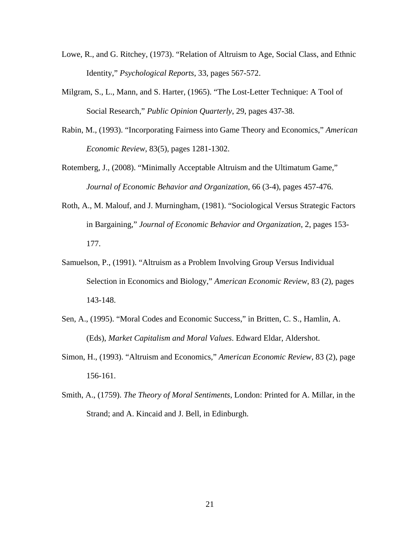- Lowe, R., and G. Ritchey, (1973). "Relation of Altruism to Age, Social Class, and Ethnic Identity," *Psychological Reports*, 33, pages 567-572.
- Milgram, S., L., Mann, and S. Harter, (1965). "The Lost-Letter Technique: A Tool of Social Research," *Public Opinion Quarterly*, 29, pages 437-38.
- Rabin, M., (1993). "Incorporating Fairness into Game Theory and Economics," *American Economic Review*, 83(5), pages 1281-1302.
- Rotemberg, J., (2008). "Minimally Acceptable Altruism and the Ultimatum Game," *Journal of Economic Behavior and Organization*, 66 (3-4), pages 457-476.
- Roth, A., M. Malouf, and J. Murningham, (1981). "Sociological Versus Strategic Factors in Bargaining," *Journal of Economic Behavior and Organization*, 2, pages 153- 177.
- Samuelson, P., (1991). "Altruism as a Problem Involving Group Versus Individual Selection in Economics and Biology," *American Economic Review*, 83 (2), pages 143-148.
- Sen, A., (1995). "Moral Codes and Economic Success," in Britten, C. S., Hamlin, A. (Eds), *Market Capitalism and Moral Values*. Edward Eldar, Aldershot.
- Simon, H., (1993). "Altruism and Economics," *American Economic Review*, 83 (2), page 156-161.
- Smith, A., (1759). *The Theory of Moral Sentiments*, London: Printed for A. Millar, in the Strand; and A. Kincaid and J. Bell, in Edinburgh.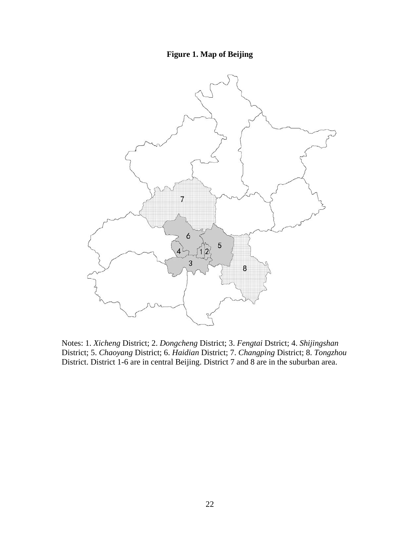### **Figure 1. Map of Beijing**



Notes: 1. *Xicheng* District; 2. *Dongcheng* District; 3. *Fengtai* Dstrict; 4. *Shijingshan*  District; 5. *Chaoyang* District; 6. *Haidian* District; 7. *Changping* District; 8. *Tongzhou* District. District 1-6 are in central Beijing. District 7 and 8 are in the suburban area.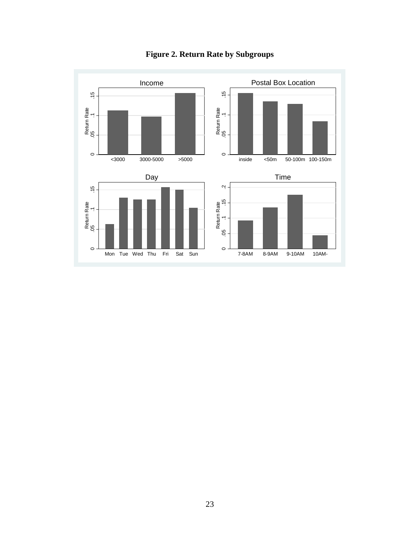

**Figure 2. Return Rate by Subgroups**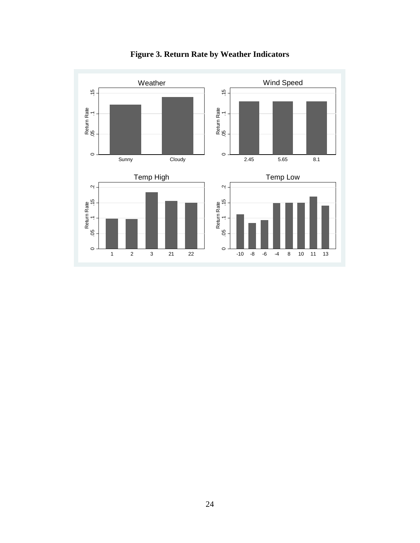

**Figure 3. Return Rate by Weather Indicators**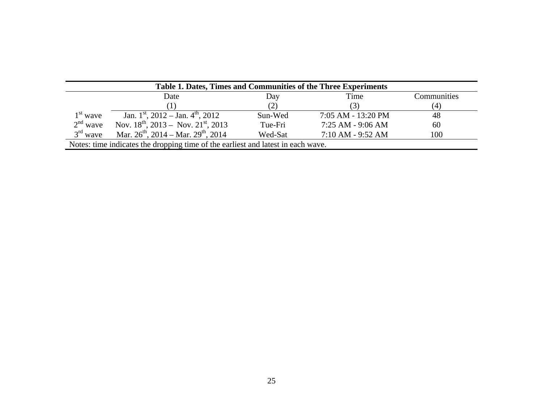| Table 1. Dates, Times and Communities of the Three Experiments                   |                                                           |         |                    |             |  |  |
|----------------------------------------------------------------------------------|-----------------------------------------------------------|---------|--------------------|-------------|--|--|
|                                                                                  | Date                                                      | Day     | Time               | Communities |  |  |
|                                                                                  |                                                           |         |                    | (4)         |  |  |
| $1st$ wave                                                                       | Jan. 1 <sup>st</sup> , 2012 – Jan. 4 <sup>th</sup> , 2012 | Sun-Wed | 7:05 AM - 13:20 PM | 48          |  |  |
| $2nd$ wave                                                                       | Nov. $18^{th}$ , 2013 – Nov. $21^{st}$ , 2013             | Tue-Fri | 7:25 AM - 9:06 AM  | 60          |  |  |
| $3rd$ wave                                                                       | Mar. $26^{th}$ , 2014 – Mar. $29^{th}$ , 2014             | Wed-Sat | 7:10 AM - 9:52 AM  | 100         |  |  |
| Notes: time indicates the dropping time of the earliest and latest in each wave. |                                                           |         |                    |             |  |  |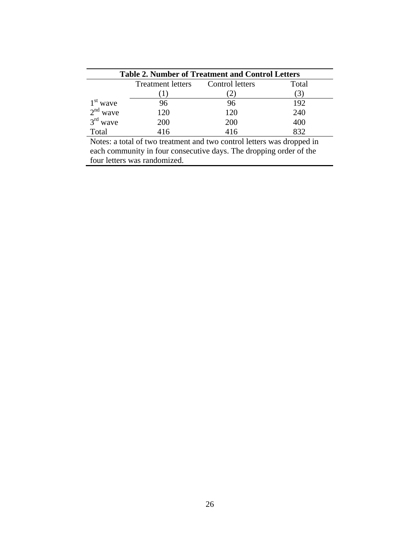| <b>Table 2. Number of Treatment and Control Letters</b> |                          |                 |       |  |  |  |
|---------------------------------------------------------|--------------------------|-----------------|-------|--|--|--|
|                                                         | <b>Treatment letters</b> | Control letters | Total |  |  |  |
|                                                         |                          | $\angle$ .      | (3)   |  |  |  |
| $1st$ wave                                              |                          | 96              | 192   |  |  |  |
| $2nd$ wave                                              | 120                      | 120             | 240   |  |  |  |
| $3rd$ wave                                              | 200                      | 200             | 400   |  |  |  |
| Total                                                   | 416                      | 416             | 832   |  |  |  |
| - -                                                     | - -                      |                 |       |  |  |  |

Notes: a total of two treatment and two control letters was dropped in each community in four consecutive days. The dropping order of the four letters was randomized.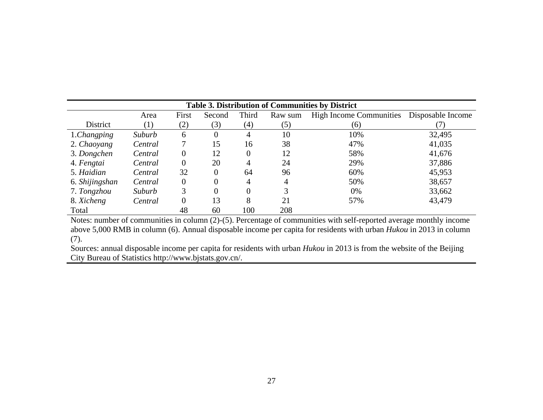| Table 3. Distribution of Communities by District |         |       |        |          |         |                                |                   |
|--------------------------------------------------|---------|-------|--------|----------|---------|--------------------------------|-------------------|
|                                                  | Area    | First | Second | Third    | Raw sum | <b>High Income Communities</b> | Disposable Income |
| District                                         | (1)     | (2)   | (3)    | (4)      | (5)     | (6)                            |                   |
| 1.Changping                                      | Suburb  | 6     | 0      | 4        | 10      | 10%                            | 32,495            |
| 2. Chaoyang                                      | Central | 7     | 15     | 16       | 38      | 47%                            | 41,035            |
| 3. Dongchen                                      | Central | 0     | 12     | $\Omega$ | 12      | 58%                            | 41,676            |
| 4. Fengtai                                       | Central | 0     | 20     | 4        | 24      | 29%                            | 37,886            |
| 5. Haidian                                       | Central | 32    | 0      | 64       | 96      | 60%                            | 45,953            |
| 6. Shijingshan                                   | Central | 0     | 0      | 4        | 4       | 50%                            | 38,657            |
| 7. Tongzhou                                      | Suburb  | 3     | 0      | $\Omega$ | 3       | $0\%$                          | 33,662            |
| 8. Xicheng                                       | Central | 0     | 13     | 8        | 21      | 57%                            | 43,479            |
| Total                                            |         | 48    | 60     | 100      | 208     |                                |                   |

Notes: number of communities in column (2)-(5). Percentage of communities with self-reported average monthly income above 5,000 RMB in column (6). Annual disposable income per capita for residents with urban *Hukou* in 2013 in column (7).

Sources: annual disposable income per capita for residents with urban *Hukou* in 2013 is from the website of the Beijing City Bureau of Statistics http://www.bjstats.gov.cn/.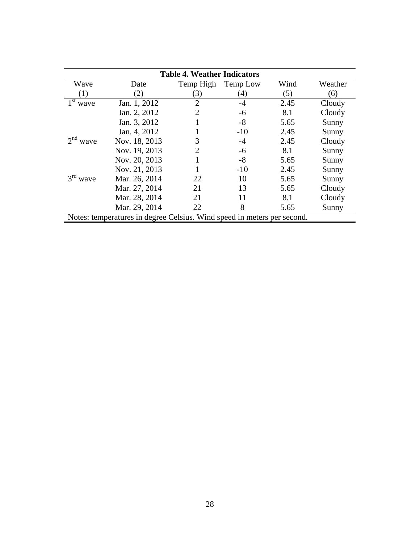| <b>Table 4. Weather Indicators</b>                                      |               |                |          |      |         |  |
|-------------------------------------------------------------------------|---------------|----------------|----------|------|---------|--|
| Wave                                                                    | Date          | Temp High      | Temp Low | Wind | Weather |  |
| (1)                                                                     | (2)           | (3)            | (4)      | (5)  | (6)     |  |
| 1 <sup>st</sup><br>wave                                                 | Jan. 1, 2012  | $\overline{2}$ | $-4$     | 2.45 | Cloudy  |  |
|                                                                         | Jan. 2, 2012  | $\overline{2}$ | -6       | 8.1  | Cloudy  |  |
|                                                                         | Jan. 3, 2012  |                | $-8$     | 5.65 | Sunny   |  |
|                                                                         | Jan. 4, 2012  |                | $-10$    | 2.45 | Sunny   |  |
| $2nd$ wave                                                              | Nov. 18, 2013 | 3              | $-4$     | 2.45 | Cloudy  |  |
|                                                                         | Nov. 19, 2013 | $\overline{2}$ | -6       | 8.1  | Sunny   |  |
|                                                                         | Nov. 20, 2013 |                | $-8$     | 5.65 | Sunny   |  |
|                                                                         | Nov. 21, 2013 |                | $-10$    | 2.45 | Sunny   |  |
| $3rd$ wave                                                              | Mar. 26, 2014 | 22             | 10       | 5.65 | Sunny   |  |
|                                                                         | Mar. 27, 2014 | 21             | 13       | 5.65 | Cloudy  |  |
|                                                                         | Mar. 28, 2014 | 21             | 11       | 8.1  | Cloudy  |  |
|                                                                         | Mar. 29, 2014 | 22             | 8        | 5.65 | Sunny   |  |
| Notes: temperatures in degree Celsius. Wind speed in meters per second. |               |                |          |      |         |  |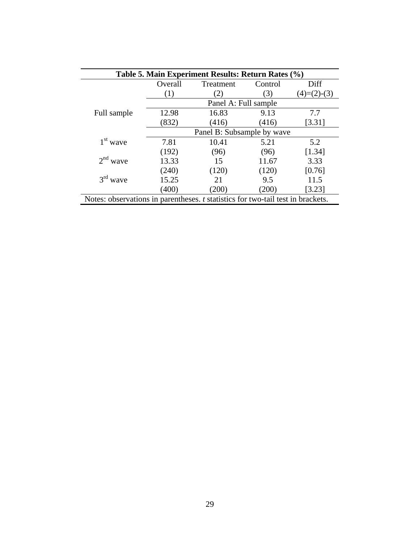|             |                            | Table 5. Main Experiment Results: Return Rates (%) |         |               |  |
|-------------|----------------------------|----------------------------------------------------|---------|---------------|--|
|             | Overall                    | Treatment                                          | Control | Diff          |  |
|             | (1)                        | 2)                                                 | (3)     | $(4)=(2)-(3)$ |  |
|             |                            | Panel A: Full sample                               |         |               |  |
| Full sample | 12.98                      | 16.83                                              | 9.13    | 7.7           |  |
|             | (832)                      | (416)                                              | (416)   | [3.31]        |  |
|             | Panel B: Subsample by wave |                                                    |         |               |  |
| $1st$ wave  | 7.81                       | 10.41                                              | 5.21    | 5.2           |  |
|             | (192)                      | (96)                                               | (96)    | [1.34]        |  |
| $2nd$ wave  | 13.33                      | 15                                                 | 11.67   | 3.33          |  |
|             | (240)                      | (120)                                              | (120)   | [0.76]        |  |
| $3rd$ wave  | 15.25                      | 21                                                 | 9.5     | 11.5          |  |
|             | (400)                      | (200)                                              | (200)   | [3.23]        |  |